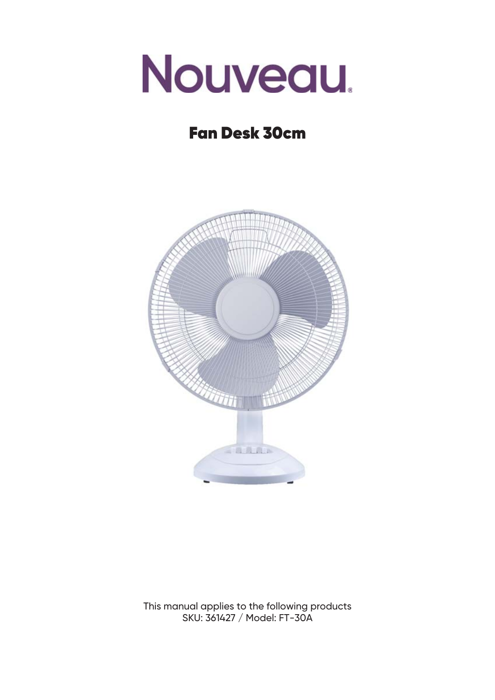

# Fan Desk 30cm



This manual applies to the following products SKU: 361427 / Model: FT-30A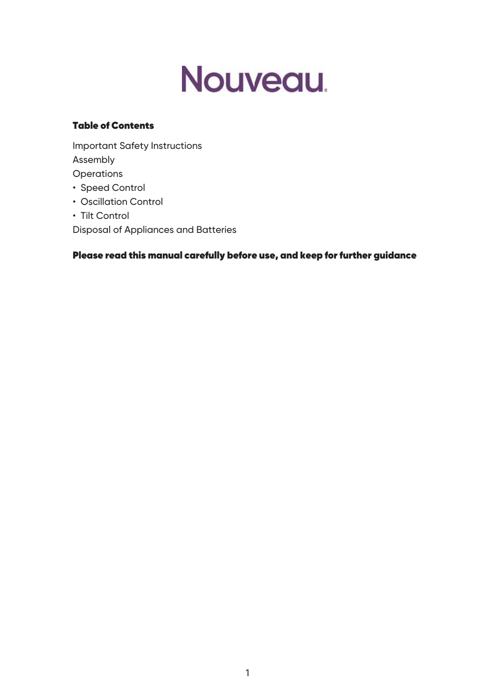

#### Table of Contents

Important Safety Instructions Assembly **Operations** • Speed Control • Oscillation Control

• Tilt Control

Disposal of Appliances and Batteries

Please read this manual carefully before use, and keep for further guidance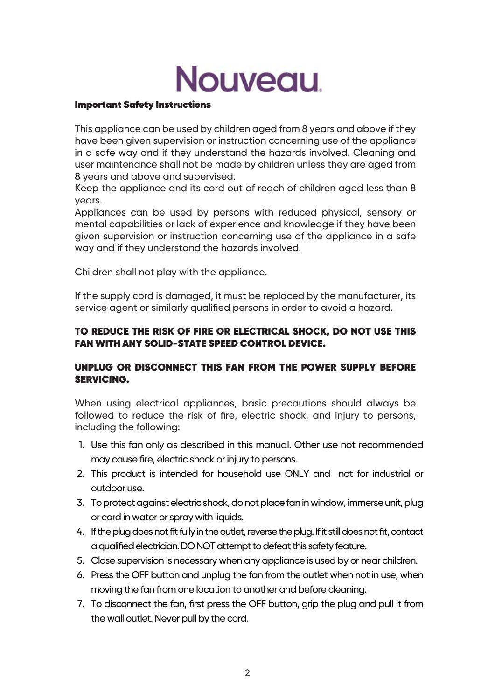# Nouveau.

#### Important Safety Instructions

This appliance can be used by children aged from 8 years and above if they have been given supervision or instruction concerning use of the appliance in a safe way and if they understand the hazards involved. Cleaning and user maintenance shall not be made by children unless they are aged from 8 years and above and supervised.

Keep the appliance and its cord out of reach of children aged less than 8 years.

Appliances can be used by persons with reduced physical, sensory or mental capabilities or lack of experience and knowledge if they have been given supervision or instruction concerning use of the appliance in a safe way and if they understand the hazards involved.

Children shall not play with the appliance.

If the supply cord is damaged, it must be replaced by the manufacturer, its service agent or similarly qualified persons in order to avoid a hazard.

### TO REDUCE THE RISK OF FIRE OR ELECTRICAL SHOCK, DO NOT USE THIS FAN WITH ANY SOLID-STATE SPEED CONTROL DEVICE.

# UNPLUG OR DISCONNECT THIS FAN FROM THE POWER SUPPLY BEFORE SERVICING.

When using electrical appliances, basic precautions should always be followed to reduce the risk of fire, electric shock, and injury to persons, including the following:

- 1. Use this fan only as described in this manual. Other use not recommended may cause fire, electric shock or injury to persons.
- 2. This product is intended for household use ONLY and not for industrial or outdoor use.
- 3. To protect against electric shock, do not place fan in window, immerse unit, plug or cord in water or spray with liquids.
- 4. If the plug does not fit fully in the outlet, reverse the plug. If it still does not fit, contact a qualified electrician. DO NOT attempt to defeat this safety feature.
- Close supervision is necessary when any appliance is used by or near children. 5.
- 6. Press the OFF button and unplug the fan from the outlet when not in use, when moving the fan from one location to another and before cleaning.
- To disconnect the fan, first press the OFF button, grip the plug and pull it from 7.the wall outlet. Never pull by the cord.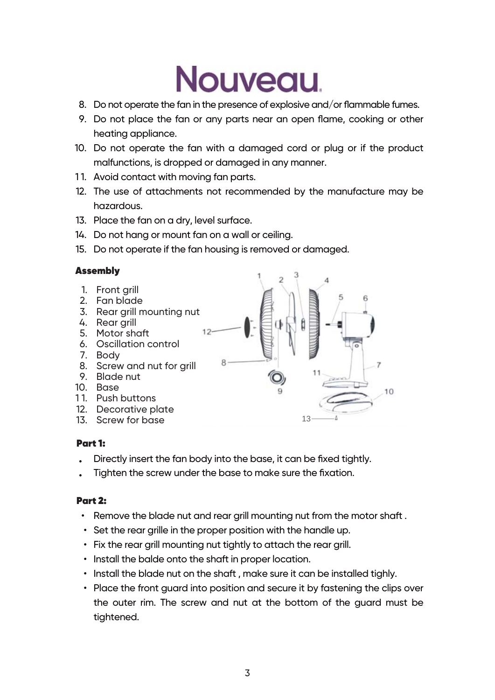# **Nouveau**

- Do not operate the fan in the presence of explosive and/or flammable fumes. 8.
- 9. Do not place the fan or any parts near an open flame, cooking or other heating appliance.
- 10. Do not operate the fan with a damaged cord or plug or if the product malfunctions, is dropped or damaged in any manner.
- 11. Avoid contact with moving fan parts.
- The use of attachments not recommended by the manufacture may be 12. hazardous.
- 13. Place the fan on a dry, level surface.
- 14. Do not hang or mount fan on a wall or ceiling.
- 15. Do not operate if the fan housing is removed or damaged.

#### Assembly

13 1. Front grill 2. Fan blade 3. Rear grill mounting nut 4. Rear grill 5. Motor shaft 6. Oscillation control 7. Body 8. Screw and nut for grill 9. Blade nut 10. Base 11. Push buttons 12. Decorative plate 13. Screw for base

# Part 1:

- Directly insert the fan body into the base, it can be fixed tightly. •
- Tighten the screw under the base to make sure the fixation. •

#### Part 2:

- Remove the blade nut and rear grill mounting nut from the motor shaft . •
- Set the rear grille in the proper position with the handle up.
- Fix the rear grill mounting nut tightly to attach the rear grill. •
- Install the balde onto the shaft in proper location.
- Install the blade nut on the shaft , make sure it can be installed tighly.
- Place the front guard into position and secure it by fastening the clips over the outer rim. The screw and nut at the bottom of the guard must be tightened.